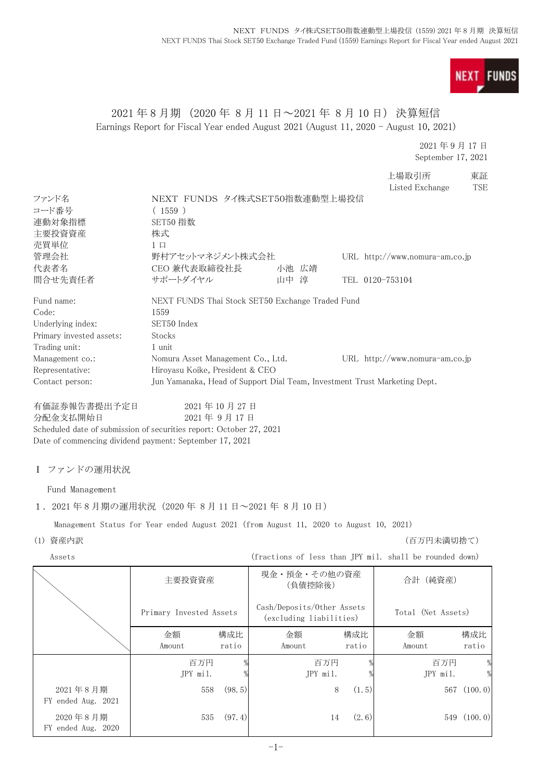**FUNDS NEXT** 

# 2021 年 8 月期 (2020 年 8 月 11 日~2021 年 8 月 10 日) 決算短信 Earnings Report for Fiscal Year ended August 2021 (August 11, 2020 - August 10, 2021)

2021 年 9 月 17 日 September 17, 2021

上場取引所 東証

|                                                                     |                                                                                        |         |        |                                                       |       | Listed Exchange                                         | <b>TSE</b>    |
|---------------------------------------------------------------------|----------------------------------------------------------------------------------------|---------|--------|-------------------------------------------------------|-------|---------------------------------------------------------|---------------|
| ファンド名                                                               | NEXT FUNDS タイ株式SET50指数連動型上場投信                                                          |         |        |                                                       |       |                                                         |               |
| コード番号<br>連動対象指標                                                     | (1559)<br>SET50 指数                                                                     |         |        |                                                       |       |                                                         |               |
| 主要投資資産                                                              | 株式                                                                                     |         |        |                                                       |       |                                                         |               |
| 売買単位                                                                | $1 \Box$                                                                               |         |        |                                                       |       |                                                         |               |
| 管理会社                                                                | 野村アセットマネジメント株式会社                                                                       |         |        |                                                       |       | URL http://www.nomura-am.co.jp                          |               |
| 代表者名                                                                | CEO 兼代表取締役社長                                                                           |         |        | 小池 広靖                                                 |       |                                                         |               |
| 問合せ先責任者                                                             | サポートダイヤル                                                                               |         | 山中 淳   |                                                       |       | TEL 0120-753104                                         |               |
| Fund name:                                                          | NEXT FUNDS Thai Stock SET50 Exchange Traded Fund                                       |         |        |                                                       |       |                                                         |               |
| Code:                                                               | 1559                                                                                   |         |        |                                                       |       |                                                         |               |
| Underlying index:                                                   | SET50 Index                                                                            |         |        |                                                       |       |                                                         |               |
| Primary invested assets:<br>Trading unit:                           | Stocks<br>1 unit                                                                       |         |        |                                                       |       |                                                         |               |
| Management co.:                                                     | Nomura Asset Management Co., Ltd.                                                      |         |        |                                                       |       | URL http://www.nomura-am.co.jp                          |               |
| Representative:                                                     | Hiroyasu Koike, President & CEO                                                        |         |        |                                                       |       |                                                         |               |
| Contact person:                                                     | Jun Yamanaka, Head of Support Dial Team, Investment Trust Marketing Dept.              |         |        |                                                       |       |                                                         |               |
|                                                                     |                                                                                        |         |        |                                                       |       |                                                         |               |
| 有価証券報告書提出予定日<br>分配金支払開始日                                            | 2021年10月27日<br>2021年9月17日                                                              |         |        |                                                       |       |                                                         |               |
| Scheduled date of submission of securities report: October 27, 2021 |                                                                                        |         |        |                                                       |       |                                                         |               |
| Date of commencing dividend payment: September 17, 2021             |                                                                                        |         |        |                                                       |       |                                                         |               |
|                                                                     |                                                                                        |         |        |                                                       |       |                                                         |               |
| Ⅰ ファンドの運用状況                                                         |                                                                                        |         |        |                                                       |       |                                                         |               |
| Fund Management                                                     |                                                                                        |         |        |                                                       |       |                                                         |               |
| 1. 2021年8月期の運用状況 (2020年8月11日~2021年8月10日)                            |                                                                                        |         |        |                                                       |       |                                                         |               |
|                                                                     | Management Status for Year ended August 2021 (from August 11, 2020 to August 10, 2021) |         |        |                                                       |       |                                                         |               |
| (1) 資産内訳                                                            |                                                                                        |         |        |                                                       |       | (百万円未満切捨て)                                              |               |
| Assets                                                              |                                                                                        |         |        |                                                       |       | (fractions of less than JPY mil. shall be rounded down) |               |
|                                                                     |                                                                                        |         |        | 現金・預金・その他の資産                                          |       |                                                         |               |
|                                                                     | 主要投資資産                                                                                 |         |        | (負債控除後)                                               |       | 合計(純資産)                                                 |               |
|                                                                     |                                                                                        |         |        |                                                       |       |                                                         |               |
|                                                                     | Primary Invested Assets                                                                |         |        | Cash/Deposits/Other Assets<br>(excluding liabilities) |       | Total (Net Assets)                                      |               |
|                                                                     | 金額                                                                                     | 構成比     | 金額     |                                                       | 構成比   | 金額                                                      | 構成比           |
|                                                                     | Amount                                                                                 | ratio   | Amount |                                                       | ratio | Amount                                                  | ratio         |
|                                                                     | 百万円                                                                                    |         |        | 百万円                                                   |       | 百万円                                                     | $\frac{0}{2}$ |
|                                                                     | JPY mil.                                                                               |         |        | JPY mil.                                              |       | JPY mil.                                                | $\frac{0}{2}$ |
| 2021年8月期                                                            | 558                                                                                    | (98, 5) |        | 8                                                     | (1.5) |                                                         | 567 (100.0)   |
| FY ended Aug. 2021                                                  |                                                                                        |         |        |                                                       |       |                                                         |               |
| 2020年8月期                                                            | 535                                                                                    | (97.4)  |        | 14                                                    | (2.6) |                                                         | 549 (100.0)   |
| FY ended Aug. 2020                                                  |                                                                                        |         |        |                                                       |       |                                                         |               |
|                                                                     |                                                                                        |         | $-1-$  |                                                       |       |                                                         |               |
|                                                                     |                                                                                        |         |        |                                                       |       |                                                         |               |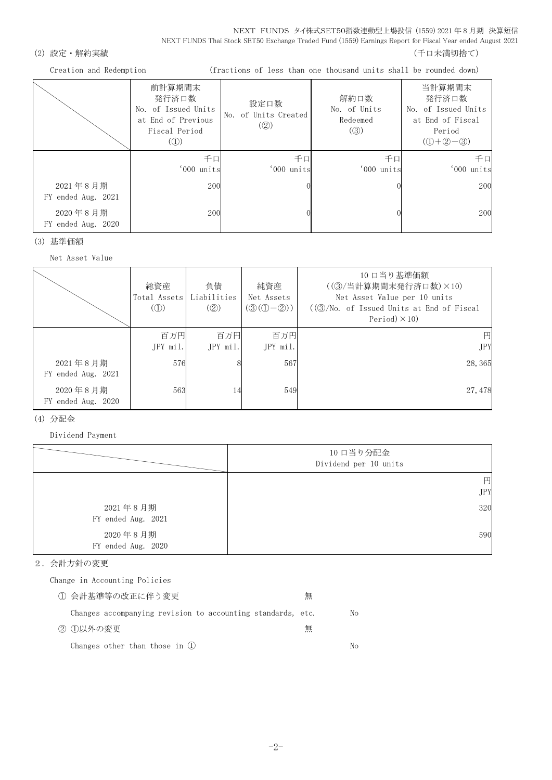NEXT FUNDS タイ株式SET50指数連動型上場投信 (1559) 2021 年 8 月期 決算短信 NEXT FUNDS Thai Stock SET50 Exchange Traded Fund (1559) Earnings Report for Fiscal Year ended August 2021

## (2) 設定・解約実績 (2) またまま (1) これには はんしゃ (1) これには はんしょう (千口未満切捨て)

Creation and Redemption (fractions of less than one thousand units shall be rounded down)

|                                | 前計算期間末<br>発行済口数<br>No. of Issued Units<br>at End of Previous<br>Fiscal Period<br>$\mathcal{L}(\mathbb{D})$ | 設定口数<br>No. of Units Created<br>$\left( \circled{2} \right)$ | 解約口数<br>No. of Units<br>Redeemed<br>$\left( \circled{3}\right)$ | 当計算期間末<br>発行済口数<br>No. of Issued Units<br>at End of Fiscal<br>Period<br>$(① + ② - ③)$ |
|--------------------------------|------------------------------------------------------------------------------------------------------------|--------------------------------------------------------------|-----------------------------------------------------------------|---------------------------------------------------------------------------------------|
|                                | 千口<br>'000 units                                                                                           | 千口<br>'000 units                                             | 千口<br>'000 units                                                | 千口<br>'000 units                                                                      |
| 2021年8月期<br>FY ended Aug. 2021 | 200                                                                                                        |                                                              |                                                                 | 200                                                                                   |
| 2020年8月期<br>FY ended Aug. 2020 | 200                                                                                                        |                                                              |                                                                 | 200                                                                                   |

(3) 基準価額

Net Asset Value

|                                | 総資産<br>Total Assets<br>$\mathcal{L}(\mathbb{D})$ | 負債<br>Liabilities<br>(Q) | 純資産<br>Net Assets<br>$(③(①-②))$ | 10 口当り基準価額<br>((3) 当計算期間末発行済口数) ×10)<br>Net Asset Value per 10 units<br>$((\textcircled{3}/\text{No. of Is sued Units at End of Fiscal})$<br>Period $)\times$ 10) |
|--------------------------------|--------------------------------------------------|--------------------------|---------------------------------|-------------------------------------------------------------------------------------------------------------------------------------------------------------------|
|                                | 百万円<br>$JPY$ mil.                                | 百万円<br>JPY mil.          | 百万円<br>JPY mil.                 | 円<br><b>JPY</b>                                                                                                                                                   |
| 2021年8月期<br>FY ended Aug. 2021 | 576                                              |                          | 567                             | 28, 365                                                                                                                                                           |
| 2020年8月期<br>FY ended Aug. 2020 | 563                                              | 14                       | 549                             | 27, 478                                                                                                                                                           |

### (4) 分配金

Dividend Payment

|                                | 10 口当り分配金<br>Dividend per 10 units |
|--------------------------------|------------------------------------|
|                                | 円                                  |
|                                | <b>JPY</b>                         |
| 2021年8月期                       | 320                                |
| FY ended Aug. 2021             |                                    |
| 2020年8月期<br>FY ended Aug. 2020 | 590                                |

### 2.会計方針の変更

Change in Accounting Policies

| ① 会計基準等の改正に伴う変更                                             | 無 |    |
|-------------------------------------------------------------|---|----|
| Changes accompanying revision to accounting standards, etc. |   | No |
| ② ①以外の変更                                                    | 無 |    |
| Changes other than those in $(l)$                           |   | Nο |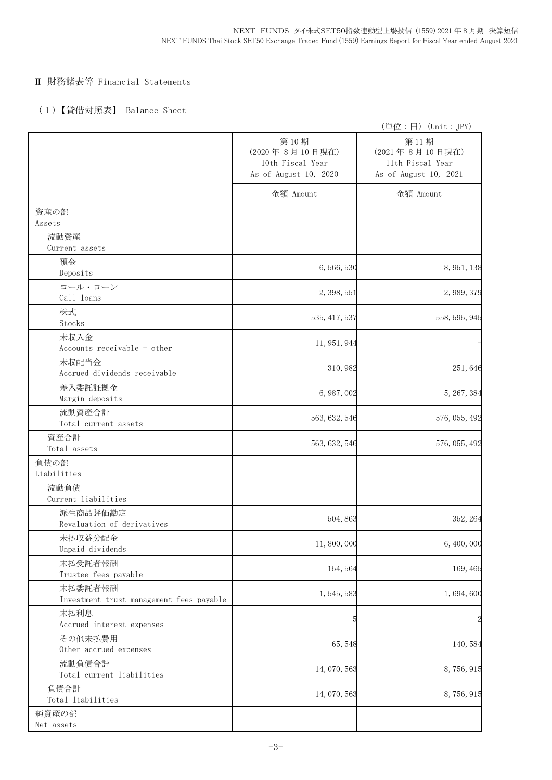## Ⅱ 財務諸表等 Financial Statements

## (1)【貸借対照表】 Balance Sheet

|                                                     |                                                                     | (単位:円) (Unit:JPY)                                                   |
|-----------------------------------------------------|---------------------------------------------------------------------|---------------------------------------------------------------------|
|                                                     | 第10期<br>(2020年8月10日現在)<br>10th Fiscal Year<br>As of August 10, 2020 | 第11期<br>(2021年8月10日現在)<br>11th Fiscal Year<br>As of August 10, 2021 |
|                                                     | 金額 Amount                                                           | 金額 Amount                                                           |
| 資産の部<br>Assets                                      |                                                                     |                                                                     |
| 流動資産<br>Current assets                              |                                                                     |                                                                     |
| 預金<br>Deposits                                      | 6,566,530                                                           | 8, 951, 138                                                         |
| コール・ローン<br>Call loans                               | 2, 398, 551                                                         | 2, 989, 379                                                         |
| 株式<br>Stocks                                        | 535, 417, 537                                                       | 558, 595, 945                                                       |
| 未収入金<br>Accounts receivable - other                 | 11, 951, 944                                                        |                                                                     |
| 未収配当金<br>Accrued dividends receivable               | 310, 982                                                            | 251,646                                                             |
| 差入委託証拠金<br>Margin deposits                          | 6, 987, 002                                                         | 5, 267, 384                                                         |
| 流動資産合計<br>Total current assets                      | 563, 632, 546                                                       | 576, 055, 492                                                       |
| 資産合計<br>Total assets                                | 563, 632, 546                                                       | 576, 055, 492                                                       |
| 負債の部<br>Liabilities                                 |                                                                     |                                                                     |
| 流動負債<br>Current liabilities                         |                                                                     |                                                                     |
| 派生商品評価勘定<br>Revaluation of derivatives              | 504, 863                                                            | 352, 264                                                            |
| 未払収益分配金<br>Unpaid dividends                         | 11,800,000                                                          | 6,400,000                                                           |
| 未払受託者報酬<br>Trustee fees payable                     | 154, 564                                                            | 169, 465                                                            |
| 未払委託者報酬<br>Investment trust management fees payable | 1, 545, 583                                                         | 1,694,600                                                           |
| 未払利息<br>Accrued interest expenses                   | E                                                                   | $\overline{c}$                                                      |
| その他未払費用<br>Other accrued expenses                   | 65,548                                                              | 140,584                                                             |
| 流動負債合計<br>Total current liabilities                 | 14,070,563                                                          | 8,756,915                                                           |
| 負債合計<br>Total liabilities                           | 14, 070, 563                                                        | 8,756,915                                                           |
| 純資産の部<br>Net assets                                 |                                                                     |                                                                     |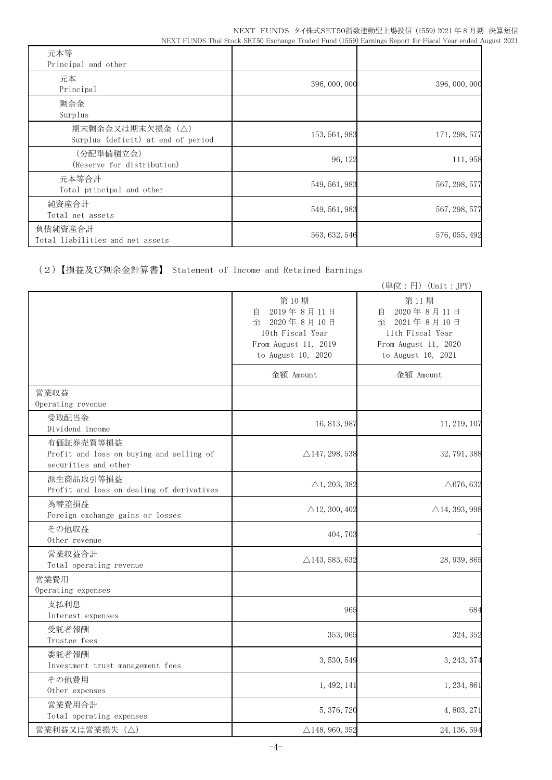| 元本等<br>Principal and other                            |               |               |
|-------------------------------------------------------|---------------|---------------|
| 元本<br>Principal                                       | 396, 000, 000 | 396, 000, 000 |
| 剰余金<br>Surplus                                        |               |               |
| 期末剰余金又は期末欠損金(△)<br>Surplus (deficit) at end of period | 153, 561, 983 | 171, 298, 577 |
| (分配準備積立金)<br>(Reserve for distribution)               | 96, 122       | 111,958       |
| 元本等合計<br>Total principal and other                    | 549, 561, 983 | 567, 298, 577 |
| 純資産合計<br>Total net assets                             | 549, 561, 983 | 567, 298, 577 |
| 負債純資産合計<br>Total liabilities and net assets           | 563, 632, 546 | 576, 055, 492 |

(2)【損益及び剰余金計算書】 Statement of Income and Retained Earnings

|                                                                               |                                                                                                           | (単位:円) (Unit: JPY)                                                                                        |
|-------------------------------------------------------------------------------|-----------------------------------------------------------------------------------------------------------|-----------------------------------------------------------------------------------------------------------|
|                                                                               | 第10期<br>2019年8月11日<br>自<br>至 2020年8月10日<br>10th Fiscal Year<br>From August 11, 2019<br>to August 10, 2020 | 第11期<br>2020年8月11日<br>自<br>至 2021年8月10日<br>11th Fiscal Year<br>From August 11, 2020<br>to August 10, 2021 |
|                                                                               | 金額 Amount                                                                                                 | 金額 Amount                                                                                                 |
| 営業収益<br>Operating revenue                                                     |                                                                                                           |                                                                                                           |
| 受取配当金<br>Dividend income                                                      | 16, 813, 987                                                                                              | 11, 219, 107                                                                                              |
| 有価証券売買等損益<br>Profit and loss on buying and selling of<br>securities and other | $\triangle$ 147, 298, 538                                                                                 | 32, 791, 388                                                                                              |
| 派生商品取引等損益<br>Profit and loss on dealing of derivatives                        | $\triangle$ 1, 203, 382                                                                                   | $\triangle$ 676, 632                                                                                      |
| 為替差損益<br>Foreign exchange gains or losses                                     | $\triangle$ 12, 300, 402                                                                                  | $\triangle$ 14, 393, 998                                                                                  |
| その他収益<br>Other revenue                                                        | 404, 703                                                                                                  |                                                                                                           |
| 営業収益合計<br>Total operating revenue                                             | $\triangle$ 143, 583, 632                                                                                 | 28, 939, 865                                                                                              |
| 営業費用<br>Operating expenses                                                    |                                                                                                           |                                                                                                           |
| 支払利息<br>Interest expenses                                                     | 965                                                                                                       | 684                                                                                                       |
| 受託者報酬<br>Trustee fees                                                         | 353,065                                                                                                   | 324, 352                                                                                                  |
| 委託者報酬<br>Investment trust management fees                                     | 3, 530, 549                                                                                               | 3, 243, 374                                                                                               |
| その他費用<br>Other expenses                                                       | 1, 492, 141                                                                                               | 1, 234, 861                                                                                               |
| 営業費用合計<br>Total operating expenses                                            | 5, 376, 720                                                                                               | 4, 803, 271                                                                                               |
| 営業利益又は営業損失 (△)                                                                | $\triangle$ 148, 960, 352                                                                                 | 24, 136, 594                                                                                              |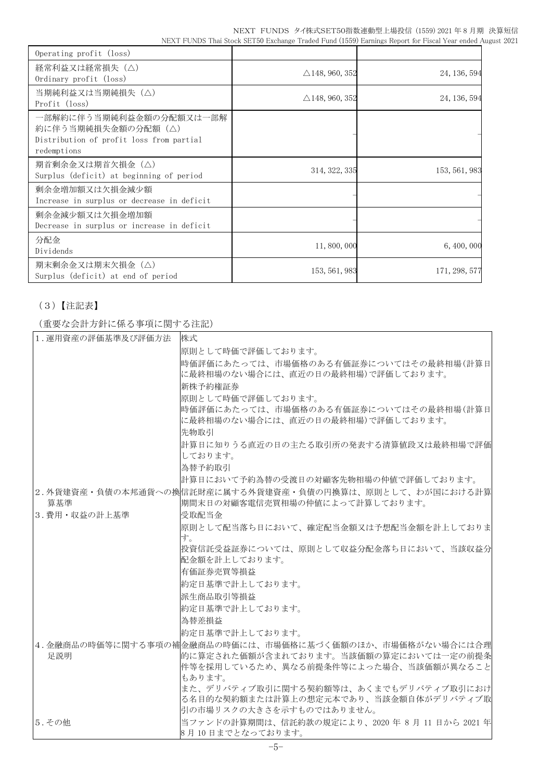| Operating profit (loss)                                                                                  |                           |               |
|----------------------------------------------------------------------------------------------------------|---------------------------|---------------|
| 経常利益又は経常損失(△)<br>Ordinary profit (loss)                                                                  | $\triangle$ 148, 960, 352 | 24, 136, 594  |
| 当期純利益又は当期純損失(△)<br>Profit (loss)                                                                         | $\triangle$ 148, 960, 352 | 24, 136, 594  |
| 一部解約に伴う当期純利益金額の分配額又は一部解<br>約に伴う当期純損失金額の分配額(△)<br>Distribution of profit loss from partial<br>redemptions |                           |               |
| 期首剰余金又は期首欠損金(△)<br>Surplus (deficit) at beginning of period                                              | 314, 322, 335             | 153, 561, 983 |
| 剰余金増加額又は欠損金減少額<br>Increase in surplus or decrease in deficit                                             |                           |               |
| 剰余金減少額又は欠損金増加額<br>Decrease in surplus or increase in deficit                                             |                           |               |
| 分配金<br>Dividends                                                                                         | 11,800,000                | 6, 400, 000   |
| 期末剰余金又は期末欠損金(△)<br>Surplus (deficit) at end of period                                                    | 153, 561, 983             | 171, 298, 577 |

## (3)【注記表】

(重要な会計方針に係る事項に関する注記)

| 1. 運用資産の評価基準及び評価方法 | 株式                                                                         |
|--------------------|----------------------------------------------------------------------------|
|                    | 原則として時価で評価しております。                                                          |
|                    | 時価評価にあたっては、市場価格のある有価証券についてはその最終相場(計算日                                      |
|                    | に最終相場のない場合には、直近の日の最終相場)で評価しております。                                          |
|                    | 新株予約権証券                                                                    |
|                    | 原則として時価で評価しております。                                                          |
|                    | 時価評価にあたっては、市場価格のある有価証券についてはその最終相場(計算日<br>に最終相場のない場合には、直近の日の最終相場)で評価しております。 |
|                    | 先物取引                                                                       |
|                    | 計算日に知りうる直近の日の主たる取引所の発表する清算値段又は最終相場で評価                                      |
|                    | しております。                                                                    |
|                    | 為替予約取引                                                                     |
|                    | 計算日において予約為替の受渡日の対顧客先物相場の仲値で評価しております。                                       |
|                    | 2.外貨建資産・負債の本邦通貨への換信託財産に属する外貨建資産・負債の円換算は、原則として、わが国における計算                    |
| 算基準                | 期間末日の対顧客電信売買相場の仲値によって計算しております。                                             |
| 3. 費用・収益の計上基準      | 受取配当金                                                                      |
|                    | 原則として配当落ち日において、確定配当金額又は予想配当金額を計上しておりま<br>す。                                |
|                    | 投資信託受益証券については、原則として収益分配金落ち日において、当該収益分 <br>配金額を計上しております。                    |
|                    | 有価証券売買等損益                                                                  |
|                    | 約定日基準で計上しております。                                                            |
|                    | 派生商品取引等損益                                                                  |
|                    | 約定日基準で計上しております。                                                            |
|                    | 為替差損益                                                                      |
|                    | 約定日基準で計上しております。                                                            |
|                    | 4. 金融商品の時価等に関する事項の補金融商品の時価には、市場価格に基づく価額のほか、市場価格がない場合には合理                   |
| 足説明                | 的に算定された価額が含まれております。当該価額の算定においては一定の前提条                                      |
|                    | 件等を採用しているため、異なる前提条件等によった場合、当該価額が異なること                                      |
|                    | もあります。                                                                     |
|                    | また、デリバティブ取引に関する契約額等は、あくまでもデリバティブ取引におけ                                      |
|                    | る名目的な契約額または計算上の想定元本であり、当該金額自体がデリバティブ取<br>引の市場リスクの大きさを示すものではありません。          |
| 5. その他             | 当ファンドの計算期間は、信託約款の規定により、2020年8月11日から2021年                                   |
|                    | 8月10日までとなっております。                                                           |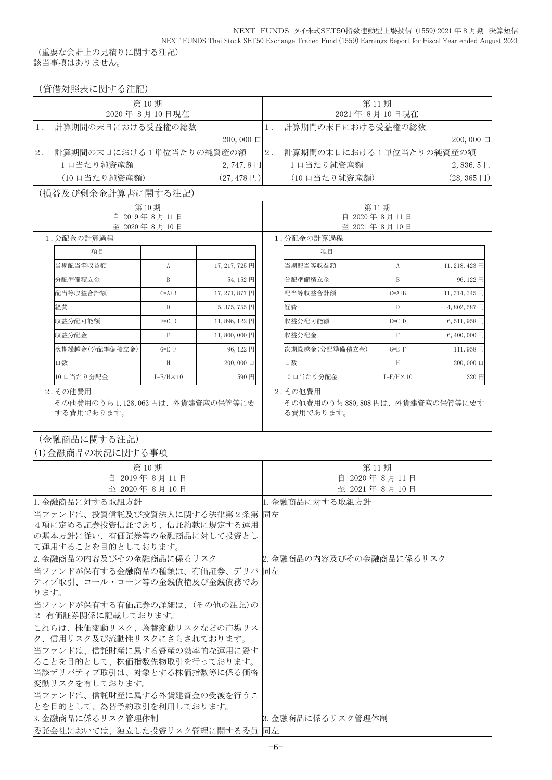(重要な会計上の見積りに関する注記) 該当事項はありません。

(貸借対照表に関する注記)

|    | 第10期                    |                          |                | 第11期                    |                        |
|----|-------------------------|--------------------------|----------------|-------------------------|------------------------|
|    | 2020年8月10日現在            |                          |                | 2021年8月10日現在            |                        |
|    | 計算期間の末日における受益権の総数       |                          |                | 計算期間の末日における受益権の総数       |                        |
|    |                         | $200,000 \Box$           |                |                         | $200,000 \Box$         |
| 2. | 計算期間の末日における1単位当たりの純資産の額 |                          | <sup>2</sup> . | 計算期間の末日における1単位当たりの純資産の額 |                        |
|    | 1 口当たり純資産額              | $2,747.8$ 円              |                | 1口当たり純資産額               | $2,836.5 \,\boxtimes$  |
|    | (10 口当たり純資産額)           | $(27, 478 \,\mathrm{H})$ |                | (10 口当たり純資産額)           | $(28, 365 \,\text{H})$ |

(損益及び剰余金計算書に関する注記)

| 第10期                                                      |                              |                | 第11期 |                                                         |                     |                |  |
|-----------------------------------------------------------|------------------------------|----------------|------|---------------------------------------------------------|---------------------|----------------|--|
|                                                           | 自 2019年8月11日<br>至 2020年8月10日 |                |      | 自<br>2020年8月11日<br>至 2021年8月10日                         |                     |                |  |
| 1.分配金の計算過程                                                |                              |                |      | 1.分配金の計算過程                                              |                     |                |  |
| 項目                                                        |                              |                |      | 項目                                                      |                     |                |  |
| 当期配当等収益額                                                  | A                            | 17, 217, 725 円 |      | 当期配当等収益額                                                | A                   | 11, 218, 423 円 |  |
| 分配準備積立金                                                   | B                            | 54,152円        |      | 分配準備積立金                                                 | B                   | 96,122円        |  |
| 配当等収益合計額                                                  | $C=A+B$                      | 17, 271, 877 円 |      | 配当等収益合計額                                                | $C=A+B$             | 11, 314, 545 円 |  |
| 経費                                                        | D                            | $5,375,755$ 円  |      | 経費                                                      | D                   | 4,802,587円     |  |
| 収益分配可能額                                                   | $E=C-D$                      | 11,896,122円    |      | 収益分配可能額                                                 | $E=C-D$             | 6,511,958円     |  |
| 収益分配金                                                     | $\mathbf{F}$                 | 11,800,000円    |      | 収益分配金                                                   | F                   | 6,400,000円     |  |
| 次期繰越金(分配準備積立金)                                            | $G = E - F$                  | 96,122円        |      | 次期繰越金(分配準備積立金)                                          | $G = E - F$         | 111,958円       |  |
| 口数                                                        | H                            | $200,000 \Box$ |      | 口数                                                      | H                   | $200,000 \Box$ |  |
| 10 口当たり分配金                                                | $I = F/H \times 10$          | 590 円          |      | 10 口当たり分配金                                              | $I = F/H \times 10$ | 320 円          |  |
| 2. その他費用<br>その他費用のうち1,128,063円は、外貨建資産の保管等に要<br>する費用であります。 |                              |                |      | 2. その他費用<br>その他費用のうち880,808円は、外貨建資産の保管等に要す<br>る費用であります。 |                     |                |  |

(金融商品に関する注記)

(1)金融商品の状況に関する事項

| 第10期                            | 第11期                    |
|---------------------------------|-------------------------|
| 自 2019年8月11日                    | 自 2020年 8月11日           |
| 至 2020年8月10日                    | 至 2021年8月10日            |
| 11. 金融商品に対する取組方針                | 1. 金融商品に対する取組方針         |
| 当ファンドは、投資信託及び投資法人に関する法律第2条第  同左 |                         |
| 4 項に定める証券投資信託であり、信託約款に規定する運用    |                         |
| の基本方針に従い、有価証券等の金融商品に対して投資とし     |                         |
| て運用することを目的としております。              |                         |
| 2. 金融商品の内容及びその金融商品に係るリスク        | 2.金融商品の内容及びその金融商品に係るリスク |
| 当ファンドが保有する金融商品の種類は、有価証券、デリバ 同左  |                         |
| ティブ取引、コール・ローン等の金銭債権及び金銭債務であ     |                         |
| ります。                            |                         |
| 当ファンドが保有する有価証券の詳細は、(その他の注記)の    |                         |
| 2 有価証券関係に記載しております。              |                         |
| これらは、株価変動リスク、為替変動リスクなどの市場リス     |                         |
| ク、信用リスク及び流動性リスクにさらされております。      |                         |
| 当ファンドは、信託財産に属する資産の効率的な運用に資す     |                         |
| ることを目的として、株価指数先物取引を行っております。     |                         |
| 当該デリバティブ取引は、対象とする株価指数等に係る価格     |                         |
| 変動リスクを有しております。                  |                         |
| 当ファンドは、信託財産に属する外貨建資金の受渡を行うこ     |                         |
| とを目的として、為替予約取引を利用しております。        |                         |
| 3.金融商品に係るリスク管理体制                | 3.金融商品に係るリスク管理体制        |
| 委託会社においては、独立した投資リスク管理に関する委員  同左 |                         |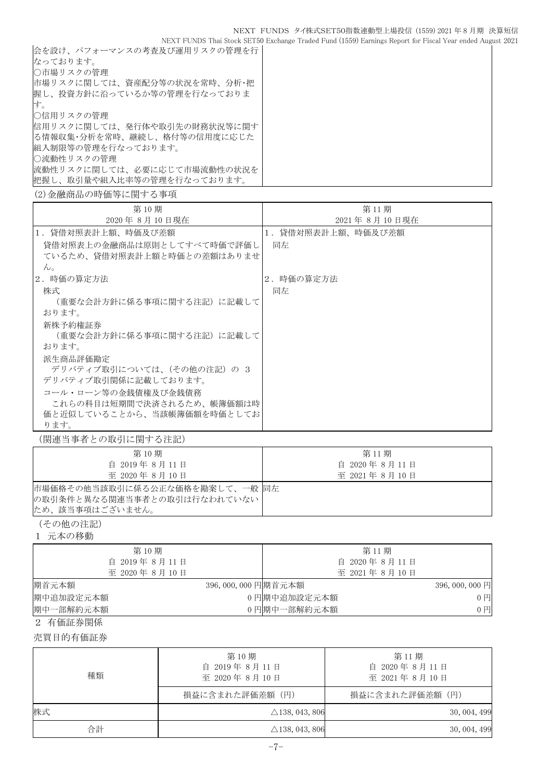NEXT FUNDS Thai Stock SET50 Exchange Traded Fund (1559) Earnings Report for Fiscal Year ended August 2021 会を設け、パフォーマンスの考査及び運用リスクの管理を行 なっております。 ○市場リスクの管理 市場リスクに関しては、資産配分等の状況を常時、分析・把 握し、投資方針に沿っているか等の管理を行なっておりま す。 ○信用リスクの管理 信用リスクに関しては、発行体や取引先の財務状況等に関す る情報収集・分析を常時、継続し、格付等の信用度に応じた 組入制限等の管理を行なっております。 ○流動性リスクの管理 流動性リスクに関しては、必要に応じて市場流動性の状況を 把握し、取引量や組入比率等の管理を行なっております。

(2)金融商品の時価等に関する事項

| 第10期                       | 第11期              |
|----------------------------|-------------------|
| 2020年 8月 10日現在             | 2021年 8月 10日現在    |
| 1.貸借対照表計上額、時価及び差額          | 1.貸借対照表計上額、時価及び差額 |
| 貸借対照表上の金融商品は原則としてすべて時価で評価し | 同左                |
| ているため、貸借対照表計上額と時価との差額はありませ |                   |
| $\mathcal{W}_{\alpha}$     |                   |
| 2. 時価の算定方法                 | 2.時価の算定方法         |
| 株式                         | 同左                |
| (重要な会計方針に係る事項に関する注記)に記載して  |                   |
| おります。                      |                   |
| 新株予約権証券                    |                   |
| (重要な会計方針に係る事項に関する注記)に記載して  |                   |
| おります。                      |                   |
| 派生商品評価勘定                   |                   |
| デリバティブ取引については、(その他の注記) の 3 |                   |
| デリバティブ取引関係に記載しております。       |                   |
| コール・ローン等の金銭債権及び金銭債務        |                   |
| これらの科目は短期間で決済されるため、帳簿価額は時  |                   |
| 価と近似していることから、当該帳簿価額を時価としてお |                   |
| ります。                       |                   |

(関連当事者との取引に関する注記)

| 第10期                                                                                 | 第11期         |
|--------------------------------------------------------------------------------------|--------------|
| 自 2019年8月11日                                                                         | 自 2020年8月11日 |
| 至 2020年8月10日                                                                         | 至 2021年8月10日 |
| 市場価格その他当該取引に係る公正な価格を勘案して、一般  同左<br> の取引条件と異なる関連当事者との取引は行なわれていない  <br>ため、該当事項はございません。 |              |

(その他の注記)

1 元本の移動

| 第10期         | 第11期                                  |
|--------------|---------------------------------------|
| 自 2019年8月11日 | 自 2020年8月11日                          |
| 至 2020年8月10日 | 至 2021年8月10日                          |
| 期首元本額        | 396,000,000 円期首元本額<br>$396,000,000$ 円 |
| 期中追加設定元本額    | 0円期中追加設定元本額<br>$0$ $\Box$             |
| 期中一部解約元本額    | 0円期中一部解約元本額<br>$0$ $\Box$             |

2 有価証券関係

売買目的有価証券

| 種類 | 第10期<br>自 2019年8月11日<br>至 2020年8月10日 | 第11期<br>自 2020年8月11日<br>至 2021年8月10日 |  |  |
|----|--------------------------------------|--------------------------------------|--|--|
|    | 損益に含まれた評価差額(円)                       | 損益に含まれた評価差額(円)                       |  |  |
| 株式 | $\triangle$ 138, 043, 806            | 30, 004, 499                         |  |  |
| 合計 | $\triangle$ 138, 043, 806            | 30, 004, 499                         |  |  |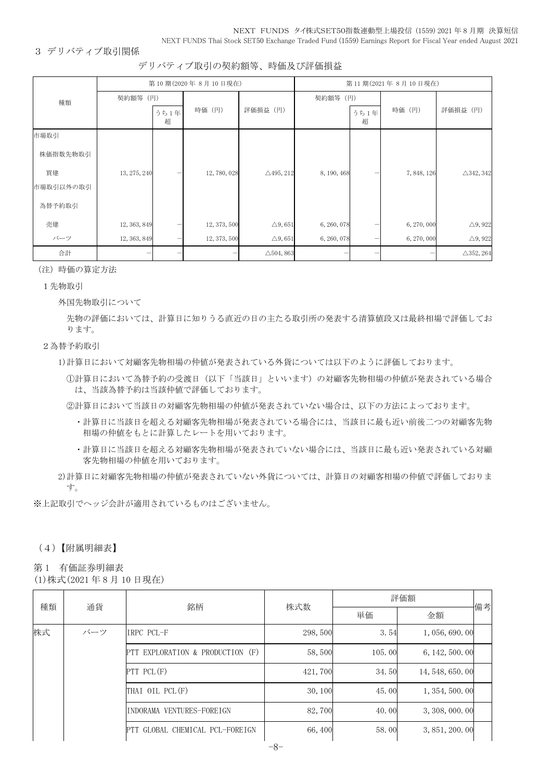#### NEXT FUNDS タイ株式SET50指数連動型上場投信 (1559) 2021 年 8 月期 決算短信 NEXT FUNDS Thai Stock SET50 Exchange Traded Fund (1559) Earnings Report for Fiscal Year ended August 2021

3 デリバティブ取引関係

デリバティブ取引の契約額等、時価及び評価損益

|           |              |           | 第10期(2020年8月10日現在) | 第11期(2021年8月10日現在)   |             |           |             |                      |
|-----------|--------------|-----------|--------------------|----------------------|-------------|-----------|-------------|----------------------|
| 種類        | 契約額等 (円)     |           |                    |                      |             | 契約額等 (円)  |             |                      |
|           |              | うち1年<br>超 | 時価 (円)             | 評価損益 (円)             |             | うち1年<br>超 | 時価 (円)      | 評価損益 (円)             |
| 市場取引      |              |           |                    |                      |             |           |             |                      |
| 株価指数先物取引  |              |           |                    |                      |             |           |             |                      |
| 買建        | 13, 275, 240 |           | 12,780,028         | $\triangle$ 495, 212 | 8, 190, 468 |           | 7, 848, 126 | $\triangle$ 342, 342 |
| 市場取引以外の取引 |              |           |                    |                      |             |           |             |                      |
| 為替予約取引    |              |           |                    |                      |             |           |             |                      |
| 売建        | 12, 363, 849 |           | 12, 373, 500       | $\triangle$ 9,651    | 6, 260, 078 |           | 6, 270, 000 | $\triangle$ 9, 922   |
| バーツ       | 12, 363, 849 | —         | 12, 373, 500       | $\triangle$ 9,651    | 6, 260, 078 | —         | 6, 270, 000 | $\triangle$ 9, 922   |
| 合計        |              |           |                    | $\triangle$ 504, 863 |             |           |             | $\triangle$ 352, 264 |

(注)時価の算定方法

#### 1先物取引

外国先物取引について

先物の評価においては、計算日に知りうる直近の日の主たる取引所の発表する清算値段又は最終相場で評価してお ります。

#### 2為替予約取引

1)計算日において対顧客先物相場の仲値が発表されている外貨については以下のように評価しております。

①計算日において為替予約の受渡日(以下「当該日」といいます)の対顧客先物相場の仲値が発表されている場合 は、当該為替予約は当該仲値で評価しております。

②計算日において当該日の対顧客先物相場の仲値が発表されていない場合は、以下の方法によっております。

- ・計算日に当該日を超える対顧客先物相場が発表されている場合には、当該日に最も近い前後二つの対顧客先物 相場の仲値をもとに計算したレートを用いております。
- ・計算日に当該日を超える対顧客先物相場が発表されていない場合には、当該日に最も近い発表されている対顧 客先物相場の仲値を用いております。
- 2)計算日に対顧客先物相場の仲値が発表されていない外貨については、計算日の対顧客相場の仲値で評価しておりま す。

※上記取引でヘッジ会計が適用されているものはございません。

### (4)【附属明細表】

第 1 有価証券明細表

(1)株式(2021 年 8 月 10 日現在)

| 種類<br>通貨 |     | 銘柄                               | 株式数     | 評価額    |                  |    |  |
|----------|-----|----------------------------------|---------|--------|------------------|----|--|
|          |     |                                  |         | 単価     | 金額               | 備考 |  |
| 株式       | バーツ | IRPC PCL-F                       | 298,500 | 3.54   | 1,056,690.00     |    |  |
|          |     | PTT EXPLORATION & PRODUCTION (F) | 58,500  | 105.00 | 6, 142, 500, 00  |    |  |
|          |     | $PTT$ PCL $(F)$                  | 421,700 | 34.50  | 14, 548, 650, 00 |    |  |
|          |     | THAI OIL PCL(F)                  | 30, 100 | 45.00  | 1, 354, 500, 00  |    |  |
|          |     | INDORAMA VENTURES-FOREIGN        | 82,700  | 40.00  | 3, 308, 000, 00  |    |  |
|          |     | PTT GLOBAL CHEMICAL PCL-FOREIGN  | 66,400  | 58.00  | 3, 851, 200, 00  |    |  |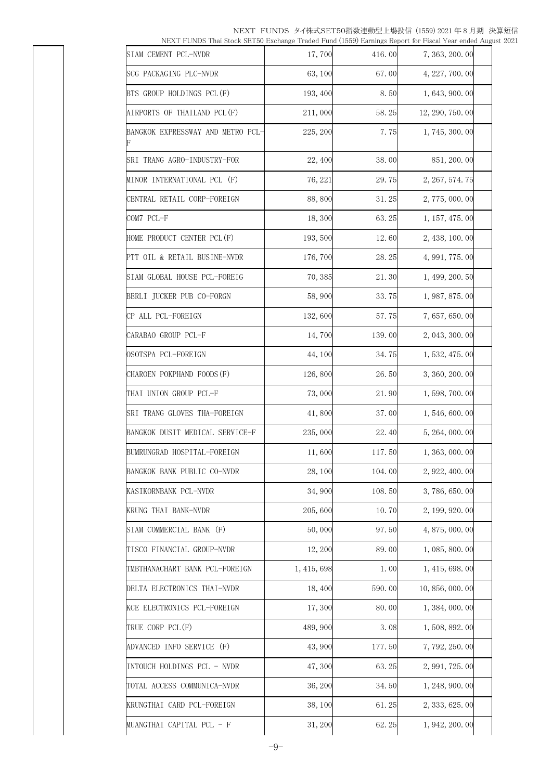NEXT FUNDS タイ株式SET50指数連動型上場投信 (1559) 2021 年 8 月期 決算短信 NEXT FUNDS Thai Stock SET50 Exchange Traded Fund (1559) Earnings Report for Fiscal Year ended August 2021

| SIAM CEMENT PCL-NVDR              | 17,700      | 416.00 | 7, 363, 200, 00  |  |
|-----------------------------------|-------------|--------|------------------|--|
| SCG PACKAGING PLC-NVDR            | 63, 100     | 67.00  | 4, 227, 700. 00  |  |
| BTS GROUP HOLDINGS PCL(F)         | 193, 400    | 8.50   | 1, 643, 900. 00  |  |
| AIRPORTS OF THAILAND PCL(F)       | 211,000     | 58.25  | 12, 290, 750. 00 |  |
| BANGKOK EXPRESSWAY AND METRO PCL- | 225, 200    | 7.75   | 1, 745, 300, 00  |  |
| SRI TRANG AGRO-INDUSTRY-FOR       | 22,400      | 38.00  | 851, 200. 00     |  |
| MINOR INTERNATIONAL PCL (F)       | 76, 221     | 29.75  | 2, 267, 574. 75  |  |
| CENTRAL RETAIL CORP-FOREIGN       | 88,800      | 31.25  | 2, 775, 000. 00  |  |
| COM7 PCL-F                        | 18,300      | 63.25  | 1, 157, 475. 00  |  |
| HOME PRODUCT CENTER PCL(F)        | 193,500     | 12.60  | 2, 438, 100.00   |  |
| PTT OIL & RETAIL BUSINE-NVDR      | 176,700     | 28.25  | 4, 991, 775.00   |  |
| SIAM GLOBAL HOUSE PCL-FOREIG      | 70,385      | 21.30  | 1, 499, 200. 50  |  |
| BERLI JUCKER PUB CO-FORGN         | 58,900      | 33.75  | 1, 987, 875, 00  |  |
| CP ALL PCL-FOREIGN                | 132,600     | 57.75  | 7,657,650.00     |  |
| CARABAO GROUP PCL-F               | 14,700      | 139.00 | 2, 043, 300. 00  |  |
| OSOTSPA PCL-FOREIGN               | 44, 100     | 34.75  | 1, 532, 475.00   |  |
| CHAROEN POKPHAND FOODS (F)        | 126,800     | 26.50  | 3, 360, 200. 00  |  |
| THAI UNION GROUP PCL-F            | 73,000      | 21.90  | 1, 598, 700. 00  |  |
| SRI TRANG GLOVES THA-FOREIGN      | 41,800      | 37.00  | 1, 546, 600. 00  |  |
| BANGKOK DUSIT MEDICAL SERVICE-F   | 235,000     | 22.40  | 5, 264, 000. 00  |  |
| BUMRUNGRAD HOSPITAL-FOREIGN       | 11,600      | 117.50 | 1, 363, 000. 00  |  |
| BANGKOK BANK PUBLIC CO-NVDR       | 28, 100     | 104.00 | 2, 922, 400.00   |  |
| KASIKORNBANK PCL-NVDR             | 34,900      | 108.50 | 3, 786, 650. 00  |  |
| KRUNG THAI BANK-NVDR              | 205,600     | 10.70  | 2, 199, 920. 00  |  |
| SIAM COMMERCIAL BANK (F)          | 50,000      | 97.50  | 4, 875, 000. 00  |  |
| TISCO FINANCIAL GROUP-NVDR        | 12, 200     | 89.00  | 1, 085, 800. 00  |  |
| TMBTHANACHART BANK PCL-FOREIGN    | 1, 415, 698 | 1.00   | 1, 415, 698. 00  |  |
| DELTA ELECTRONICS THAI-NVDR       | 18,400      | 590.00 | 10, 856, 000. 00 |  |
| KCE ELECTRONICS PCL-FOREIGN       | 17,300      | 80.00  | 1, 384, 000. 00  |  |
| TRUE CORP PCL(F)                  | 489, 900    | 3.08   | 1, 508, 892. 00  |  |
| ADVANCED INFO SERVICE (F)         | 43,900      | 177.50 | 7, 792, 250.00   |  |
| INTOUCH HOLDINGS PCL - NVDR       | 47,300      | 63.25  | 2, 991, 725. 00  |  |
| TOTAL ACCESS COMMUNICA-NVDR       | 36, 200     | 34.50  | 1, 248, 900. 00  |  |
| KRUNGTHAI CARD PCL-FOREIGN        | 38, 100     | 61.25  | 2, 333, 625. 00  |  |
| MUANGTHAI CAPITAL PCL - F         | 31, 200     | 62.25  | 1, 942, 200. 00  |  |